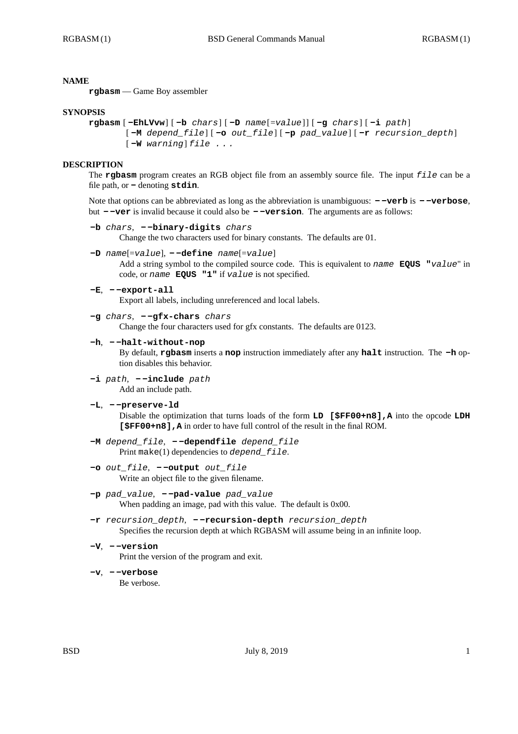# **NAME**

**rgbasm** — Game Boy assembler

## **SYNOPSIS**

```
rgbasm [ -EhLVvw] [ -b chars] [ -D name[=value] ] [ -g chars] [ -i path]
[ -M depend_file] [ -o out_file] [ -p pad_value] [ -r recursion_depth]
[ -W warning] file . . .
```
## **DESCRIPTION**

The **rgbasm** program creates an RGB object file from an assembly source file. The input *file* can be a file path, or **-** denoting **stdin**.

Note that options can be abbreviated as long as the abbreviation is unambiguous: **- -verb** is **- -verbose**, but **- -ver** is invalid because it could also be **- -version**. The arguments are as follows:

**-b** *chars*, **- -binary-digits** *chars*

Change the two characters used for binary constants. The defaults are 01.

**-D** *name*[=*value*], **- -define** *name*[=*value*]

Add a string symbol to the compiled source code. This is equivalent to *name* **EQUS "***value*" in code, or *name* **EQUS "1"** if *value* is not specified.

**-E**, **- -export-all**

Export all labels, including unreferenced and local labels.

**-g** *chars*, **- -gfx-chars** *chars*

Change the four characters used for gfx constants. The defaults are 0123.

## **-h**, **- -halt-without-nop**

By default, **rgbasm** inserts a **nop** instruction immediately after any **halt** instruction. The **-h** option disables this behavior.

- **-i** *path*,  **-include** *path* Add an include path.
- **-L**,  **-preserve-ld**

Disable the optimization that turns loads of the form **LD [\$FF00+n8],A** into the opcode **LDH [\$FF00+n8],A** in order to have full control of the result in the final ROM.

- **-M** *depend\_file*,  **-dependfile** *depend\_file* Print make(1) dependencies to *depend\_file*.
- **-o** *out\_file*,  **-output** *out\_file* Write an object file to the given filename.
- **-p** *pad\_value*,  **-pad-value** *pad\_value* When padding an image, pad with this value. The default is  $0x00$ .
- **-r** *recursion\_depth*,  **-recursion-depth** *recursion\_depth* Specifies the recursion depth at which RGBASM will assume being in an infinite loop.
- **-V**,  **-version** Print the version of the program and exit.
- **-v**,  **-verbose** Be verbose.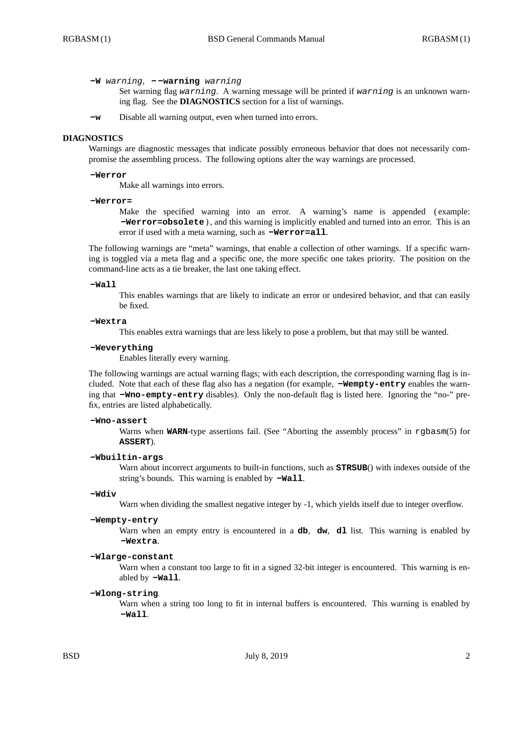**-W** *warning*, **- -warning** *warning*

Set warning flag *warning*. A warning message will be printed if *warning* is an unknown warning flag. See the **DIAGNOSTICS** section for a list of warnings.

**-w** Disable all warning output, even when turned into errors.

### **DIAGNOSTICS**

Warnings are diagnostic messages that indicate possibly erroneous behavior that does not necessarily compromise the assembling process. The following options alter the way warnings are processed.

### **-Werror**

Make all warnings into errors.

### **-Werror=**

Make the specified warning into an error. A warning's name is appended (example: **-Werror=obsolete** ) , and this warning is implicitly enabled and turned into an error. This is an error if used with a meta warning, such as **-Werror=all**.

The following warnings are "meta" warnings, that enable a collection of other warnings. If a specific warning is toggled via a meta flag and a specific one, the more specific one takes priority. The position on the command-line acts as a tie breaker, the last one taking effect.

### **-Wall**

This enables warnings that are likely to indicate an error or undesired behavior, and that can easily be fixed.

### **-Wextra**

This enables extra warnings that are less likely to pose a problem, but that may still be wanted.

### **-Weverything**

Enables literally every warning.

The following warnings are actual warning flags; with each description, the corresponding warning flag is included. Note that each of these flag also has a negation (for example, **-Wempty-entry** enables the warning that **-Wno-empty-entry** disables). Only the non-default flag is listed here. Ignoring the "no-" prefix, entries are listed alphabetically.

### **-Wno-assert**

Warns when **WARN**-type assertions fail. (See "Aborting the assembly process" in rgbasm(5) for **ASSERT**).

## **-Wbuiltin-args**

Warn about incorrect arguments to built-in functions, such as **STRSUB**() with indexes outside of the string's bounds. This warning is enabled by **-Wall**.

### **-Wdiv**

Warn when dividing the smallest negative integer by -1, which yields itself due to integer overflow.

#### **-Wempty-entry**

Warn when an empty entry is encountered in a **db**, **dw**, **dl** list. This warning is enabled by **-Wextra**.

# **-Wlarge-constant**

Warn when a constant too large to fit in a signed 32-bit integer is encountered. This warning is enabled by **-Wall**.

### **-Wlong-string**

Warn when a string too long to fit in internal buffers is encountered. This warning is enabled by **-Wall**.